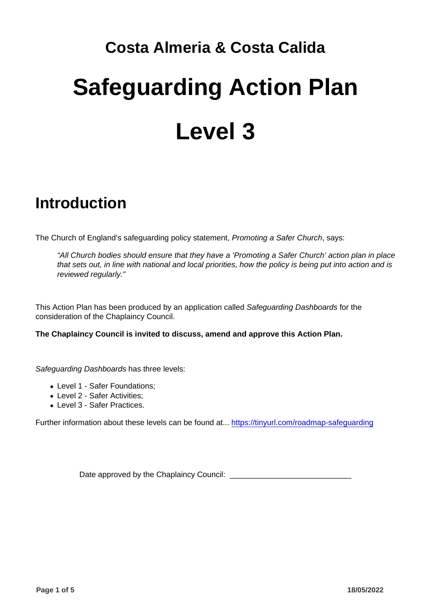# Costa Almeria & Costa Calida Safeguarding Action Plan Level 3

#### Introduction

The Church of England's safeguarding policy statement, Promoting a Safer Church, says:

"All Church bodies should ensure that they have a 'Promoting a Safer Church' action plan in place that sets out, in line with national and local priorities, how the policy is being put into action and is reviewed regularly."

This Action Plan has been produced by an application called Safeguarding Dashboards for the consideration of the Chaplaincy Council.

The Chaplaincy Council is invited to discuss, amend and approve this Action Plan.

Safeguarding Dashboards has three levels:

- Level 1 Safer Foundations;
- Level 2 Safer Activities;
- Level 3 Safer Practices.

Further information about these levels can be found at... <https://tinyurl.com/roadmap-safeguarding>

Date approved by the Chaplaincy Council: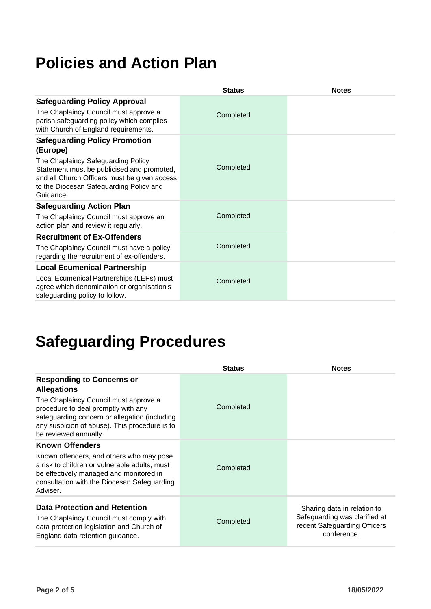#### **Policies and Action Plan**

|                                                                                                                                                                                          | <b>Status</b> | <b>Notes</b> |
|------------------------------------------------------------------------------------------------------------------------------------------------------------------------------------------|---------------|--------------|
| <b>Safeguarding Policy Approval</b>                                                                                                                                                      |               |              |
| The Chaplaincy Council must approve a<br>parish safeguarding policy which complies<br>with Church of England requirements.                                                               | Completed     |              |
| <b>Safeguarding Policy Promotion</b><br>(Europe)                                                                                                                                         |               |              |
| The Chaplaincy Safeguarding Policy<br>Statement must be publicised and promoted,<br>and all Church Officers must be given access<br>to the Diocesan Safeguarding Policy and<br>Guidance. | Completed     |              |
| <b>Safeguarding Action Plan</b>                                                                                                                                                          |               |              |
| The Chaplaincy Council must approve an<br>action plan and review it regularly.                                                                                                           | Completed     |              |
| <b>Recruitment of Ex-Offenders</b>                                                                                                                                                       |               |              |
| The Chaplaincy Council must have a policy<br>regarding the recruitment of ex-offenders.                                                                                                  | Completed     |              |
| <b>Local Ecumenical Partnership</b>                                                                                                                                                      |               |              |
| Local Ecumenical Partnerships (LEPs) must<br>agree which denomination or organisation's<br>safeguarding policy to follow.                                                                | Completed     |              |

### **Safeguarding Procedures**

|                                                                                                                                                                                                         | <b>Status</b> | <b>Notes</b>                                                                 |
|---------------------------------------------------------------------------------------------------------------------------------------------------------------------------------------------------------|---------------|------------------------------------------------------------------------------|
| <b>Responding to Concerns or</b><br><b>Allegations</b>                                                                                                                                                  |               |                                                                              |
| The Chaplaincy Council must approve a<br>procedure to deal promptly with any<br>safeguarding concern or allegation (including<br>any suspicion of abuse). This procedure is to<br>be reviewed annually. | Completed     |                                                                              |
| <b>Known Offenders</b>                                                                                                                                                                                  |               |                                                                              |
| Known offenders, and others who may pose<br>a risk to children or vulnerable adults, must<br>be effectively managed and monitored in<br>consultation with the Diocesan Safeguarding<br>Adviser.         | Completed     |                                                                              |
| <b>Data Protection and Retention</b>                                                                                                                                                                    |               | Sharing data in relation to                                                  |
| The Chaplaincy Council must comply with<br>data protection legislation and Church of<br>England data retention guidance.                                                                                | Completed     | Safeguarding was clarified at<br>recent Safeguarding Officers<br>conference. |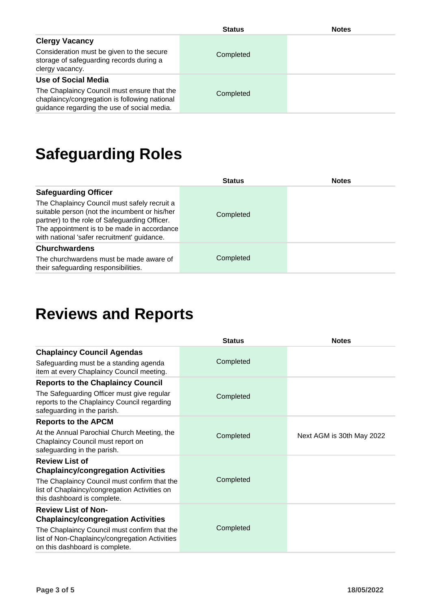|                                                                                                                                                                    | <b>Status</b> | <b>Notes</b> |
|--------------------------------------------------------------------------------------------------------------------------------------------------------------------|---------------|--------------|
| <b>Clergy Vacancy</b><br>Consideration must be given to the secure<br>storage of safeguarding records during a<br>clergy vacancy.                                  | Completed     |              |
| Use of Social Media<br>The Chaplaincy Council must ensure that the<br>chaplaincy/congregation is following national<br>guidance regarding the use of social media. | Completed     |              |

### **Safeguarding Roles**

|                                                                                                                                                                                                                                              | <b>Status</b> | <b>Notes</b> |
|----------------------------------------------------------------------------------------------------------------------------------------------------------------------------------------------------------------------------------------------|---------------|--------------|
| <b>Safeguarding Officer</b>                                                                                                                                                                                                                  |               |              |
| The Chaplaincy Council must safely recruit a<br>suitable person (not the incumbent or his/her<br>partner) to the role of Safeguarding Officer.<br>The appointment is to be made in accordance<br>with national 'safer recruitment' guidance. | Completed     |              |
| <b>Churchwardens</b>                                                                                                                                                                                                                         |               |              |
| The churchwardens must be made aware of<br>their safeguarding responsibilities.                                                                                                                                                              | Completed     |              |

#### **Reviews and Reports**

|                                                                                                                              | <b>Status</b> | <b>Notes</b>              |
|------------------------------------------------------------------------------------------------------------------------------|---------------|---------------------------|
| <b>Chaplaincy Council Agendas</b>                                                                                            |               |                           |
| Safeguarding must be a standing agenda<br>item at every Chaplaincy Council meeting.                                          | Completed     |                           |
| <b>Reports to the Chaplaincy Council</b>                                                                                     |               |                           |
| The Safeguarding Officer must give regular<br>reports to the Chaplaincy Council regarding<br>safeguarding in the parish.     | Completed     |                           |
| <b>Reports to the APCM</b>                                                                                                   |               |                           |
| At the Annual Parochial Church Meeting, the<br>Chaplaincy Council must report on<br>safeguarding in the parish.              | Completed     | Next AGM is 30th May 2022 |
| <b>Review List of</b>                                                                                                        |               |                           |
| <b>Chaplaincy/congregation Activities</b>                                                                                    |               |                           |
| The Chaplaincy Council must confirm that the<br>list of Chaplaincy/congregation Activities on<br>this dashboard is complete. | Completed     |                           |
| <b>Review List of Non-</b>                                                                                                   |               |                           |
| <b>Chaplaincy/congregation Activities</b>                                                                                    |               |                           |
| The Chaplaincy Council must confirm that the<br>list of Non-Chaplaincy/congregation Activities                               | Completed     |                           |
| on this dashboard is complete.                                                                                               |               |                           |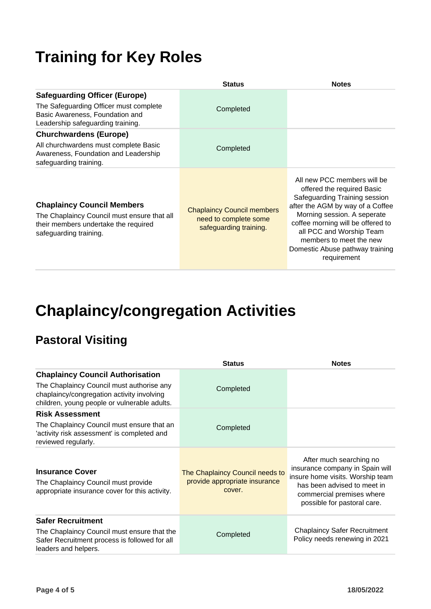#### **Training for Key Roles**

|                                                                                                                                                        | <b>Status</b>                                                                        | <b>Notes</b>                                                                                                                                                                                                                                                                                                |
|--------------------------------------------------------------------------------------------------------------------------------------------------------|--------------------------------------------------------------------------------------|-------------------------------------------------------------------------------------------------------------------------------------------------------------------------------------------------------------------------------------------------------------------------------------------------------------|
| <b>Safeguarding Officer (Europe)</b><br>The Safeguarding Officer must complete<br>Basic Awareness, Foundation and<br>Leadership safeguarding training. | Completed                                                                            |                                                                                                                                                                                                                                                                                                             |
| <b>Churchwardens (Europe)</b>                                                                                                                          |                                                                                      |                                                                                                                                                                                                                                                                                                             |
| All churchwardens must complete Basic<br>Awareness, Foundation and Leadership<br>safeguarding training.                                                | Completed                                                                            |                                                                                                                                                                                                                                                                                                             |
| <b>Chaplaincy Council Members</b><br>The Chaplaincy Council must ensure that all<br>their members undertake the required<br>safeguarding training.     | <b>Chaplaincy Council members</b><br>need to complete some<br>safeguarding training. | All new PCC members will be<br>offered the required Basic<br>Safeguarding Training session<br>after the AGM by way of a Coffee<br>Morning session. A seperate<br>coffee morning will be offered to<br>all PCC and Worship Team<br>members to meet the new<br>Domestic Abuse pathway training<br>requirement |

#### **Chaplaincy/congregation Activities**

#### **Pastoral Visiting**

|                                                                                                                                                  | <b>Status</b>                                                              | <b>Notes</b>                                                                                                                                                                              |
|--------------------------------------------------------------------------------------------------------------------------------------------------|----------------------------------------------------------------------------|-------------------------------------------------------------------------------------------------------------------------------------------------------------------------------------------|
| <b>Chaplaincy Council Authorisation</b>                                                                                                          |                                                                            |                                                                                                                                                                                           |
| The Chaplaincy Council must authorise any<br>chaplaincy/congregation activity involving<br>children, young people or vulnerable adults.          | Completed                                                                  |                                                                                                                                                                                           |
| <b>Risk Assessment</b>                                                                                                                           |                                                                            |                                                                                                                                                                                           |
| The Chaplaincy Council must ensure that an<br>'activity risk assessment' is completed and<br>reviewed regularly.                                 | Completed                                                                  |                                                                                                                                                                                           |
| <b>Insurance Cover</b><br>The Chaplaincy Council must provide<br>appropriate insurance cover for this activity.                                  | The Chaplaincy Council needs to<br>provide appropriate insurance<br>cover. | After much searching no<br>insurance company in Spain will<br>insure home visits. Worship team<br>has been advised to meet in<br>commercial premises where<br>possible for pastoral care. |
| <b>Safer Recruitment</b><br>The Chaplaincy Council must ensure that the<br>Safer Recruitment process is followed for all<br>leaders and helpers. | Completed                                                                  | <b>Chaplaincy Safer Recruitment</b><br>Policy needs renewing in 2021                                                                                                                      |